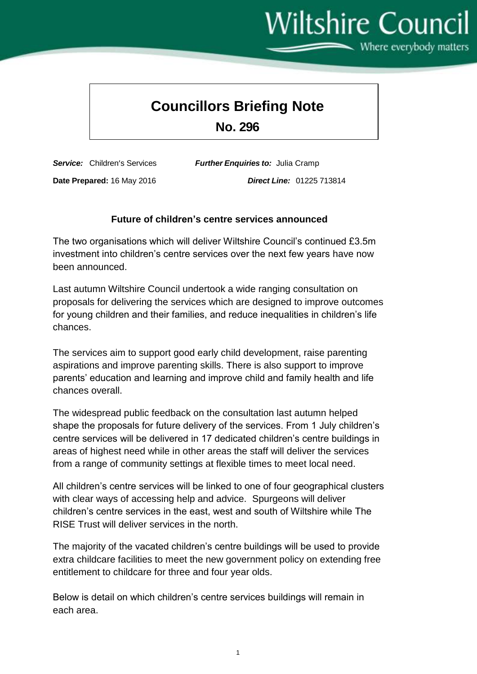# Wiltshire Council

Where everybody matters

# **Councillors Briefing Note**

**No. 296**

*Service:* Children's Services *Further Enquiries to:* Julia Cramp

**Date Prepared:** 16 May 2016 *Direct Line:* 01225 713814

### **Future of children's centre services announced**

The two organisations which will deliver Wiltshire Council's continued £3.5m investment into children's centre services over the next few years have now been announced.

Last autumn Wiltshire Council undertook a wide ranging consultation on proposals for delivering the services which are designed to improve outcomes for young children and their families, and reduce inequalities in children's life chances.

The services aim to support good early child development, raise parenting aspirations and improve parenting skills. There is also support to improve parents' education and learning and improve child and family health and life chances overall.

The widespread public feedback on the consultation last autumn helped shape the proposals for future delivery of the services. From 1 July children's centre services will be delivered in 17 dedicated children's centre buildings in areas of highest need while in other areas the staff will deliver the services from a range of community settings at flexible times to meet local need.

All children's centre services will be linked to one of four geographical clusters with clear ways of accessing help and advice. Spurgeons will deliver children's centre services in the east, west and south of Wiltshire while The RISE Trust will deliver services in the north.

The majority of the vacated children's centre buildings will be used to provide extra childcare facilities to meet the new government policy on extending free entitlement to childcare for three and four year olds.

Below is detail on which children's centre services buildings will remain in each area.